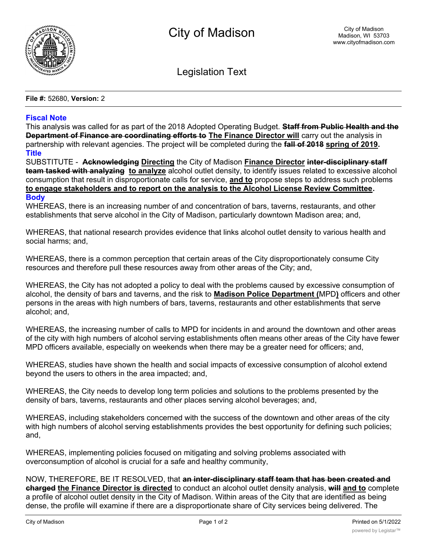

Legislation Text

**File #:** 52680, **Version:** 2

## **Fiscal Note**

This analysis was called for as part of the 2018 Adopted Operating Budget. **Staff from Public Health and the Department of Finance are coordinating efforts to The Finance Director will** carry out the analysis in partnership with relevant agencies. The project will be completed during the **fall of 2018 spring of 2019. Title**

SUBSTITUTE - **Acknowledging Directing** the City of Madison **Finance Director inter-disciplinary staff team tasked with analyzing to analyze** alcohol outlet density, to identify issues related to excessive alcohol consumption that result in disproportionate calls for service, **and to** propose steps to address such problems **to engage stakeholders and to report on the analysis to the Alcohol License Review Committee. Body**

WHEREAS, there is an increasing number of and concentration of bars, taverns, restaurants, and other establishments that serve alcohol in the City of Madison, particularly downtown Madison area; and,

WHEREAS, that national research provides evidence that links alcohol outlet density to various health and social harms; and,

WHEREAS, there is a common perception that certain areas of the City disproportionately consume City resources and therefore pull these resources away from other areas of the City; and,

WHEREAS, the City has not adopted a policy to deal with the problems caused by excessive consumption of alcohol, the density of bars and taverns, and the risk to **Madison Police Department (**MPD**)** officers and other persons in the areas with high numbers of bars, taverns, restaurants and other establishments that serve alcohol; and,

WHEREAS, the increasing number of calls to MPD for incidents in and around the downtown and other areas of the city with high numbers of alcohol serving establishments often means other areas of the City have fewer MPD officers available, especially on weekends when there may be a greater need for officers; and,

WHEREAS, studies have shown the health and social impacts of excessive consumption of alcohol extend beyond the users to others in the area impacted; and,

WHEREAS, the City needs to develop long term policies and solutions to the problems presented by the density of bars, taverns, restaurants and other places serving alcohol beverages; and,

WHEREAS, including stakeholders concerned with the success of the downtown and other areas of the city with high numbers of alcohol serving establishments provides the best opportunity for defining such policies; and,

WHEREAS, implementing policies focused on mitigating and solving problems associated with overconsumption of alcohol is crucial for a safe and healthy community,

| NOW, THEREFORE, BE IT RESOLVED, that an inter-disciplinary staff team that has been created and                   |
|-------------------------------------------------------------------------------------------------------------------|
| charged the Finance Director is directed to conduct an alcohol outlet density analysis, will and to complete      |
| a profile of alcohol outlet density in the City of Madison. Within areas of the City that are identified as being |
| dense, the profile will examine if there are a disproportionate share of City services being delivered. The       |